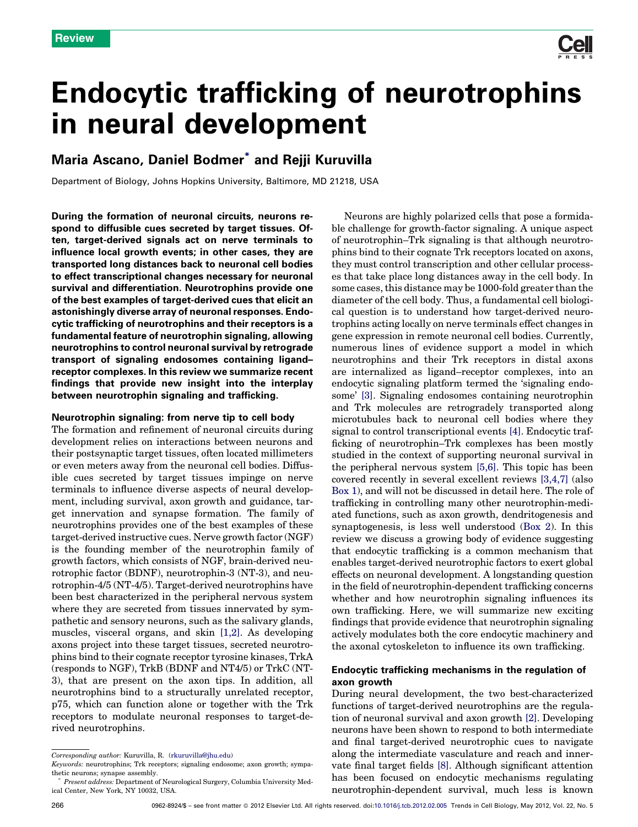# Endocytic trafficking of neurotrophins in neural development

## Maria Ascano, Daniel Bodmer<sup>\*</sup> and Rejji Kuruvilla

Department of Biology, Johns Hopkins University, Baltimore, MD 21218, USA

During the formation of neuronal circuits, neurons respond to diffusible cues secreted by target tissues. Often, target-derived signals act on nerve terminals to influence local growth events; in other cases, they are transported long distances back to neuronal cell bodies to effect transcriptional changes necessary for neuronal survival and differentiation. Neurotrophins provide one of the best examples of target-derived cues that elicit an astonishingly diverse array of neuronal responses. Endocytic trafficking of neurotrophins and their receptors is a fundamental feature of neurotrophin signaling, allowing neurotrophins to control neuronal survival by retrograde transport of signaling endosomes containing ligand– receptor complexes. In this review we summarize recent findings that provide new insight into the interplay between neurotrophin signaling and trafficking.

## Neurotrophin signaling: from nerve tip to cell body

The formation and refinement of neuronal circuits during development relies on interactions between neurons and their postsynaptic target tissues, often located millimeters or even meters away from the neuronal cell bodies. Diffusible cues secreted by target tissues impinge on nerve terminals to influence diverse aspects of neural development, including survival, axon growth and guidance, target innervation and synapse formation. The family of neurotrophins provides one of the best examples of these target-derived instructive cues. Nerve growth factor (NGF) is the founding member of the neurotrophin family of growth factors, which consists of NGF, brain-derived neurotrophic factor (BDNF), neurotrophin-3 (NT-3), and neurotrophin-4/5 (NT-4/5). Target-derived neurotrophins have been best characterized in the peripheral nervous system where they are secreted from tissues innervated by sympathetic and sensory neurons, such as the salivary glands, muscles, visceral organs, and skin [\[1,2\]](#page-6-0). As developing axons project into these target tissues, secreted neurotrophins bind to their cognate receptor tyrosine kinases, TrkA (responds to NGF), TrkB (BDNF and NT4/5) or TrkC (NT-3), that are present on the axon tips. In addition, all neurotrophins bind to a structurally unrelated receptor, p75, which can function alone or together with the Trk receptors to modulate neuronal responses to target-derived neurotrophins.

Neurons are highly polarized cells that pose a formidable challenge for growth-factor signaling. A unique aspect of neurotrophin–Trk signaling is that although neurotrophins bind to their cognate Trk receptors located on axons, they must control transcription and other cellular processes that take place long distances away in the cell body. In some cases, this distance may be 1000-fold greater than the diameter of the cell body. Thus, a fundamental cell biological question is to understand how target-derived neurotrophins acting locally on nerve terminals effect changes in gene expression in remote neuronal cell bodies. Currently, numerous lines of evidence support a model in which neurotrophins and their Trk receptors in distal axons are internalized as ligand–receptor complexes, into an endocytic signaling platform termed the 'signaling endosome' [\[3\]](#page-6-0). Signaling endosomes containing neurotrophin and Trk molecules are retrogradely transported along microtubules back to neuronal cell bodies where they signal to control transcriptional events [\[4\]](#page-6-0). Endocytic trafficking of neurotrophin–Trk complexes has been mostly studied in the context of supporting neuronal survival in the peripheral nervous system [\[5,6\].](#page-6-0) This topic has been covered recently in several excellent reviews [\[3,4,7\]](#page-6-0) (also [Box](#page-1-0) 1), and will not be discussed in detail here. The role of trafficking in controlling many other neurotrophin-mediated functions, such as axon growth, dendritogenesis and synaptogenesis, is less well understood ([Box](#page-1-0) 2). In this review we discuss a growing body of evidence suggesting that endocytic trafficking is a common mechanism that enables target-derived neurotrophic factors to exert global effects on neuronal development. A longstanding question in the field of neurotrophin-dependent trafficking concerns whether and how neurotrophin signaling influences its own trafficking. Here, we will summarize new exciting findings that provide evidence that neurotrophin signaling actively modulates both the core endocytic machinery and the axonal cytoskeleton to influence its own trafficking.

## Endocytic trafficking mechanisms in the regulation of axon growth

During neural development, the two best-characterized functions of target-derived neurotrophins are the regulation of neuronal survival and axon growth [\[2\].](#page-6-0) Developing neurons have been shown to respond to both intermediate and final target-derived neurotrophic cues to navigate along the intermediate vasculature and reach and innervate final target fields [\[8\]](#page-6-0). Although significant attention has been focused on endocytic mechanisms regulating neurotrophin-dependent survival, much less is known



Corresponding author: Kuruvilla, R. [\(rkuruvilla@jhu.edu](mailto:rkuruvilla@jhu.edu))

Keywords: neurotrophins; Trk receptors; signaling endosome; axon growth; sympathetic neurons; synapse assembly.

Present address: Department of Neurological Surgery, Columbia University Medical Center, New York, NY 10032, USA.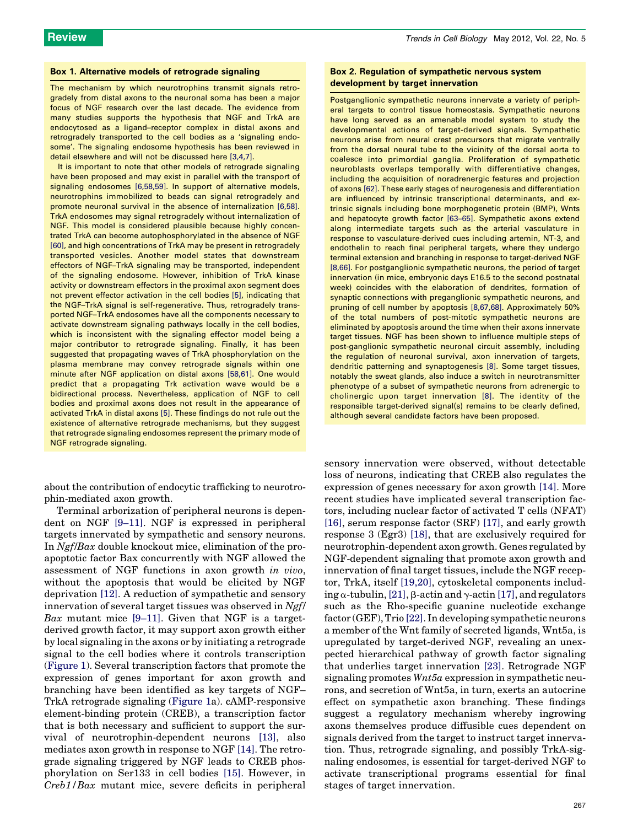#### <span id="page-1-0"></span>Box 1. Alternative models of retrograde signaling

The mechanism by which neurotrophins transmit signals retrogradely from distal axons to the neuronal soma has been a major focus of NGF research over the last decade. The evidence from many studies supports the hypothesis that NGF and TrkA are endocytosed as a ligand–receptor complex in distal axons and retrogradely transported to the cell bodies as a 'signaling endosome'. The signaling endosome hypothesis has been reviewed in detail elsewhere and will not be discussed here [\[3,4,7\]](#page-6-0).

It is important to note that other models of retrograde signaling have been proposed and may exist in parallel with the transport of signaling endosomes [\[6,58,59\].](#page-6-0) In support of alternative models, neurotrophins immobilized to beads can signal retrogradely and promote neuronal survival in the absence of internalization [\[6,58\].](#page-6-0) TrkA endosomes may signal retrogradely without internalization of NGF. This model is considered plausible because highly concentrated TrkA can become autophosphorylated in the absence of NGF [\[60\]](#page-7-0), and high concentrations of TrkA may be present in retrogradely transported vesicles. Another model states that downstream effectors of NGF–TrkA signaling may be transported, independent of the signaling endosome. However, inhibition of TrkA kinase activity or downstream effectors in the proximal axon segment does not prevent effector activation in the cell bodies [\[5\],](#page-6-0) indicating that the NGF–TrkA signal is self-regenerative. Thus, retrogradely transported NGF–TrkA endosomes have all the components necessary to activate downstream signaling pathways locally in the cell bodies, which is inconsistent with the signaling effector model being a major contributor to retrograde signaling. Finally, it has been suggested that propagating waves of TrkA phosphorylation on the plasma membrane may convey retrograde signals within one minute after NGF application on distal axons [\[58,61\]](#page-7-0). One would predict that a propagating Trk activation wave would be a bidirectional process. Nevertheless, application of NGF to cell bodies and proximal axons does not result in the appearance of activated TrkA in distal axons [\[5\].](#page-6-0) These findings do not rule out the existence of alternative retrograde mechanisms, but they suggest that retrograde signaling endosomes represent the primary mode of NGF retrograde signaling.

about the contribution of endocytic trafficking to neurotrophin-mediated axon growth.

Terminal arborization of peripheral neurons is dependent on NGF [\[9–11\]](#page-6-0). NGF is expressed in peripheral targets innervated by sympathetic and sensory neurons. In Ngf/Bax double knockout mice, elimination of the proapoptotic factor Bax concurrently with NGF allowed the assessment of NGF functions in axon growth in vivo, without the apoptosis that would be elicited by NGF deprivation [\[12\]](#page-6-0). A reduction of sympathetic and sensory innervation of several target tissues was observed in Ngf/ Bax mutant mice  $[9-11]$ . Given that NGF is a targetderived growth factor, it may support axon growth either by local signaling in the axons or by initiating a retrograde signal to the cell bodies where it controls transcription ([Figure](#page-2-0) 1). Several transcription factors that promote the expression of genes important for axon growth and branching have been identified as key targets of NGF– TrkA retrograde signaling [\(Figure](#page-2-0) 1a). cAMP-responsive element-binding protein (CREB), a transcription factor that is both necessary and sufficient to support the survival of neurotrophin-dependent neurons [\[13\]](#page-6-0), also mediates axon growth in response to NGF [\[14\].](#page-6-0) The retrograde signaling triggered by NGF leads to CREB phosphorylation on Ser133 in cell bodies [\[15\]](#page-6-0). However, in Creb1/Bax mutant mice, severe deficits in peripheral

### Box 2. Regulation of sympathetic nervous system development by target innervation

Postganglionic sympathetic neurons innervate a variety of peripheral targets to control tissue homeostasis. Sympathetic neurons have long served as an amenable model system to study the developmental actions of target-derived signals. Sympathetic neurons arise from neural crest precursors that migrate ventrally from the dorsal neural tube to the vicinity of the dorsal aorta to coalesce into primordial ganglia. Proliferation of sympathetic neuroblasts overlaps temporally with differentiative changes, including the acquisition of noradrenergic features and projection of axons [\[62\]](#page-7-0). These early stages of neurogenesis and differentiation are influenced by intrinsic transcriptional determinants, and extrinsic signals including bone morphogenetic protein (BMP), Wnts and hepatocyte growth factor [\[63–65\].](#page-7-0) Sympathetic axons extend along intermediate targets such as the arterial vasculature in response to vasculature-derived cues including artemin, NT-3, and endothelin to reach final peripheral targets, where they undergo terminal extension and branching in response to target-derived NGF [\[8,66\].](#page-6-0) For postganglionic sympathetic neurons, the period of target innervation (in mice, embryonic days E16.5 to the second postnatal week) coincides with the elaboration of dendrites, formation of synaptic connections with preganglionic sympathetic neurons, and pruning of cell number by apoptosis [\[8,67,68\]](#page-6-0). Approximately 50% of the total numbers of post-mitotic sympathetic neurons are eliminated by apoptosis around the time when their axons innervate target tissues. NGF has been shown to influence multiple steps of post-ganglionic sympathetic neuronal circuit assembly, including the regulation of neuronal survival, axon innervation of targets, dendritic patterning and synaptogenesis [\[8\]](#page-6-0). Some target tissues, notably the sweat glands, also induce a switch in neurotransmitter phenotype of a subset of sympathetic neurons from adrenergic to cholinergic upon target innervation [\[8\].](#page-6-0) The identity of the responsible target-derived signal(s) remains to be clearly defined, although several candidate factors have been proposed.

sensory innervation were observed, without detectable loss of neurons, indicating that CREB also regulates the expression of genes necessary for axon growth [\[14\].](#page-6-0) More recent studies have implicated several transcription factors, including nuclear factor of activated T cells (NFAT) [\[16\]](#page-6-0), serum response factor (SRF) [\[17\],](#page-6-0) and early growth response 3 (Egr3) [\[18\],](#page-6-0) that are exclusively required for neurotrophin-dependent axon growth. Genes regulated by NGF-dependent signaling that promote axon growth and innervation of final target tissues, include the NGF receptor, TrkA, itself [\[19,20\],](#page-6-0) cytoskeletal components including  $\alpha$ -tubulin, [\[21\],](#page-6-0)  $\beta$ -actin and  $\gamma$ -actin [\[17\],](#page-6-0) and regulators such as the Rho-specific guanine nucleotide exchange factor (GEF), Trio [\[22\].](#page-6-0) In developing sympathetic neurons a member of the Wnt family of secreted ligands, Wnt5a, is upregulated by target-derived NGF, revealing an unexpected hierarchical pathway of growth factor signaling that underlies target innervation [\[23\].](#page-7-0) Retrograde NGF signaling promotes  $Wnt5a$  expression in sympathetic neurons, and secretion of Wnt5a, in turn, exerts an autocrine effect on sympathetic axon branching. These findings suggest a regulatory mechanism whereby ingrowing axons themselves produce diffusible cues dependent on signals derived from the target to instruct target innervation. Thus, retrograde signaling, and possibly TrkA-signaling endosomes, is essential for target-derived NGF to activate transcriptional programs essential for final stages of target innervation.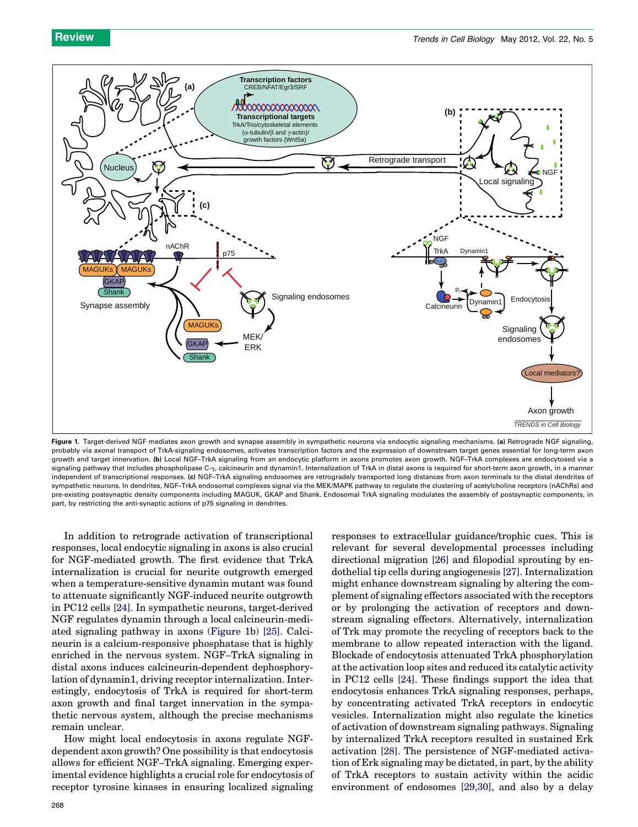<span id="page-2-0"></span>

Figure 1. Target-derived NGF mediates axon growth and synapse assembly in sympathetic neurons via endocytic signaling mechanisms. (a) Retrograde NGF signaling, probably via axonal transport of TrkA-signaling endosomes, activates transcription factors and the expression of downstream target genes essential for long-term axon growth and target innervation. (b) Local NGF-TrkA signaling from an endocytic platform in axons promotes axon growth. NGF-TrkA complexes are endocytosed via a signaling pathway that includes phospholipase C-y, calcineurin and dynamin1. Internalization of TrkA in distal axons is required for short-term axon growth, in a manner independent of transcriptional responses. (c) NGF-TrkA signaling endosomes are retrogradely transported long distances from axon terminals to the distal dendrites of sympathetic neurons. In dendrites, NGF-TrkA endosomal complexes signal via the MEK/MAPK pathway to regulate the clustering of acetylcholine receptors (nAChRs) and pre-existing postsynaptic density components including MAGUK, GKAP and Shank. Endosomal TrkA signaling modulates the assembly of postsynaptic components, in part, by restricting the anti-synaptic actions of p75 signaling in dendrites.

In addition to retrograde activation of transcriptional responses, local endocytic signaling in axons is also crucial for NGF-mediated growth. The first evidence that TrkA internalization is crucial for neurite outgrowth emerged when a temperature-sensitive dynamin mutant was found to attenuate significantly NGF-induced neurite outgrowth in PC12 cells [\[24\]](#page-7-0). In sympathetic neurons, target-derived NGF regulates dynamin through a local calcineurin-mediated signaling pathway in axons (Figure 1b) [\[25\]](#page-7-0). Calcineurin is a calcium-responsive phosphatase that is highly enriched in the nervous system. NGF–TrkA signaling in distal axons induces calcineurin-dependent dephosphorylation of dynamin1, driving receptor internalization. Interestingly, endocytosis of TrkA is required for short-term axon growth and final target innervation in the sympathetic nervous system, although the precise mechanisms remain unclear.

How might local endocytosis in axons regulate NGFdependent axon growth? One possibility is that endocytosis allows for efficient NGF–TrkA signaling. Emerging experimental evidence highlights a crucial role for endocytosis of receptor tyrosine kinases in ensuring localized signaling responses to extracellular guidance/trophic cues. This is relevant for several developmental processes including directional migration [\[26\]](#page-7-0) and filopodial sprouting by endothelial tip cells during angiogenesis [\[27\]](#page-7-0). Internalization might enhance downstream signaling by altering the complement of signaling effectors associated with the receptors or by prolonging the activation of receptors and downstream signaling effectors. Alternatively, internalization of Trk may promote the recycling of receptors back to the membrane to allow repeated interaction with the ligand. Blockade of endocytosis attenuated TrkA phosphorylation atthe activation loop sites and reduced its catalytic activity in PC12 cells [\[24\]](#page-7-0). These findings support the idea that endocytosis enhances TrkA signaling responses, perhaps, by concentrating activated TrkA receptors in endocytic vesicles. Internalization might also regulate the kinetics of activation of downstream signaling pathways. Signaling by internalized TrkA receptors resulted in sustained Erk activation [\[28\].](#page-7-0) The persistence of NGF-mediated activation of Erk signaling may be dictated, in part, by the ability of TrkA receptors to sustain activity within the acidic environment of endosomes [\[29,30\]](#page-7-0), and also by a delay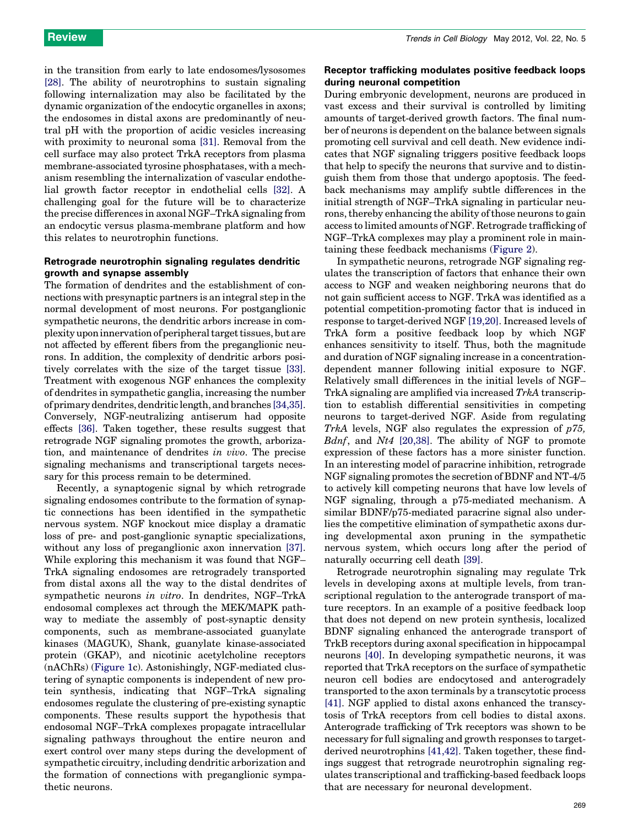in the transition from early to late endosomes/lysosomes [\[28\]](#page-7-0). The ability of neurotrophins to sustain signaling following internalization may also be facilitated by the dynamic organization of the endocytic organelles in axons; the endosomes in distal axons are predominantly of neutral pH with the proportion of acidic vesicles increasing with proximity to neuronal soma [\[31\]](#page-7-0). Removal from the cell surface may also protect TrkA receptors from plasma membrane-associated tyrosine phosphatases, with a mechanism resembling the internalization of vascular endothelial growth factor receptor in endothelial cells [\[32\].](#page-7-0) A challenging goal for the future will be to characterize the precise differences in axonal NGF–TrkA signaling from an endocytic versus plasma-membrane platform and how this relates to neurotrophin functions.

## Retrograde neurotrophin signaling regulates dendritic growth and synapse assembly

The formation of dendrites and the establishment of connections with presynaptic partners is an integral step in the normal development of most neurons. For postganglionic sympathetic neurons, the dendritic arbors increase in complexity upon innervation of peripheral target tissues, but are not affected by efferent fibers from the preganglionic neurons. In addition, the complexity of dendritic arbors positively correlates with the size of the target tissue [\[33\]](#page-7-0). Treatment with exogenous NGF enhances the complexity of dendrites in sympathetic ganglia, increasing the number ofprimary dendrites, dendritic length, and branches [\[34,35\]](#page-7-0). Conversely, NGF-neutralizing antiserum had opposite effects [\[36\]](#page-7-0). Taken together, these results suggest that retrograde NGF signaling promotes the growth, arborization, and maintenance of dendrites in vivo. The precise signaling mechanisms and transcriptional targets necessary for this process remain to be determined.

Recently, a synaptogenic signal by which retrograde signaling endosomes contribute to the formation of synaptic connections has been identified in the sympathetic nervous system. NGF knockout mice display a dramatic loss of pre- and post-ganglionic synaptic specializations, without any loss of preganglionic axon innervation [\[37\]](#page-7-0). While exploring this mechanism it was found that NGF– TrkA signaling endosomes are retrogradely transported from distal axons all the way to the distal dendrites of sympathetic neurons in vitro. In dendrites, NGF–TrkA endosomal complexes act through the MEK/MAPK pathway to mediate the assembly of post-synaptic density components, such as membrane-associated guanylate kinases (MAGUK), Shank, guanylate kinase-associated protein (GKAP), and nicotinic acetylcholine receptors (nAChRs) ([Figure](#page-2-0) 1c). Astonishingly, NGF-mediated clustering of synaptic components is independent of new protein synthesis, indicating that NGF–TrkA signaling endosomes regulate the clustering of pre-existing synaptic components. These results support the hypothesis that endosomal NGF–TrkA complexes propagate intracellular signaling pathways throughout the entire neuron and exert control over many steps during the development of sympathetic circuitry, including dendritic arborization and the formation of connections with preganglionic sympathetic neurons.

## Receptor trafficking modulates positive feedback loops during neuronal competition

During embryonic development, neurons are produced in vast excess and their survival is controlled by limiting amounts of target-derived growth factors. The final number of neurons is dependent on the balance between signals promoting cell survival and cell death. New evidence indicates that NGF signaling triggers positive feedback loops that help to specify the neurons that survive and to distinguish them from those that undergo apoptosis. The feedback mechanisms may amplify subtle differences in the initial strength of NGF–TrkA signaling in particular neurons, thereby enhancing the ability of those neurons to gain access to limited amounts of NGF. Retrograde trafficking of NGF–TrkA complexes may play a prominent role in maintaining these feedback mechanisms [\(Figure](#page-4-0) 2).

In sympathetic neurons, retrograde NGF signaling regulates the transcription of factors that enhance their own access to NGF and weaken neighboring neurons that do not gain sufficient access to NGF. TrkA was identified as a potential competition-promoting factor that is induced in response to target-derived NGF [\[19,20\]](#page-6-0). Increased levels of TrkA form a positive feedback loop by which NGF enhances sensitivity to itself. Thus, both the magnitude and duration of NGF signaling increase in a concentrationdependent manner following initial exposure to NGF. Relatively small differences in the initial levels of NGF– TrkA signaling are amplified via increased TrkA transcription to establish differential sensitivities in competing neurons to target-derived NGF. Aside from regulating TrkA levels, NGF also regulates the expression of p75, Bdnf, and Nt4 [\[20,38\].](#page-6-0) The ability of NGF to promote expression of these factors has a more sinister function. In an interesting model of paracrine inhibition, retrograde NGF signaling promotes the secretion of BDNF and NT-4/5 to actively kill competing neurons that have low levels of NGF signaling, through a p75-mediated mechanism. A similar BDNF/p75-mediated paracrine signal also underlies the competitive elimination of sympathetic axons during developmental axon pruning in the sympathetic nervous system, which occurs long after the period of naturally occurring cell death [\[39\]](#page-7-0).

Retrograde neurotrophin signaling may regulate Trk levels in developing axons at multiple levels, from transcriptional regulation to the anterograde transport of mature receptors. In an example of a positive feedback loop that does not depend on new protein synthesis, localized BDNF signaling enhanced the anterograde transport of TrkB receptors during axonal specification in hippocampal neurons [\[40\].](#page-7-0) In developing sympathetic neurons, it was reported that TrkA receptors on the surface of sympathetic neuron cell bodies are endocytosed and anterogradely transported to the axon terminals by a transcytotic process [\[41\]](#page-7-0). NGF applied to distal axons enhanced the transcytosis of TrkA receptors from cell bodies to distal axons. Anterograde trafficking of Trk receptors was shown to be necessary for full signaling and growth responses to targetderived neurotrophins [\[41,42\]](#page-7-0). Taken together, these findings suggest that retrograde neurotrophin signaling regulates transcriptional and trafficking-based feedback loops that are necessary for neuronal development.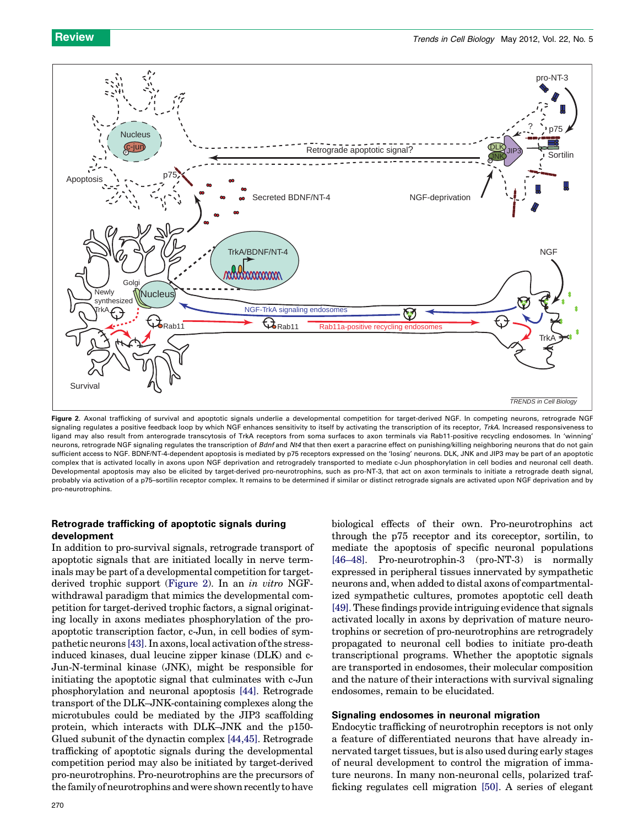<span id="page-4-0"></span>

Figure 2. Axonal trafficking of survival and apoptotic signals underlie a developmental competition for target-derived NGF. In competing neurons, retrograde NGF signaling regulates a positive feedback loop by which NGF enhances sensitivity to itself by activating the transcription of its receptor, TrkA. Increased responsiveness to ligand may also result from anterograde transcytosis of TrkA receptors from soma surfaces to axon terminals via Rab11-positive recycling endosomes. In 'winning' neurons, retrograde NGF signaling regulates the transcription of Bdnf and Nt4 that then exert a paracrine effect on punishing/killing neighboring neurons that do not gain sufficient access to NGF. BDNF/NT-4-dependent apoptosis is mediated by p75 receptors expressed on the 'losing' neurons. DLK, JNK and JIP3 may be part of an apoptotic complex that is activated locally in axons upon NGF deprivation and retrogradely transported to mediate c-Jun phosphorylation in cell bodies and neuronal cell death. Developmental apoptosis may also be elicited by target-derived pro-neurotrophins, such as pro-NT-3, that act on axon terminals to initiate a retrograde death signal, probably via activation of a p75-sortilin receptor complex. It remains to be determined if similar or distinct retrograde signals are activated upon NGF deprivation and by pro-neurotrophins.

## Retrograde trafficking of apoptotic signals during development

In addition to pro-survival signals, retrograde transport of apoptotic signals that are initiated locally in nerve terminals may be part of a developmental competition for targetderived trophic support (Figure 2). In an in vitro NGFwithdrawal paradigm that mimics the developmental competition for target-derived trophic factors, a signal originating locally in axons mediates phosphorylation of the proapoptotic transcription factor, c-Jun, in cell bodies of sym-pathetic neurons [\[43\].](#page-7-0) In axons, local activation of the stressinduced kinases, dual leucine zipper kinase (DLK) and c-Jun-N-terminal kinase (JNK), might be responsible for initiating the apoptotic signal that culminates with c-Jun phosphorylation and neuronal apoptosis [\[44\]](#page-7-0). Retrograde transport of the DLK–JNK-containing complexes along the microtubules could be mediated by the JIP3 scaffolding protein, which interacts with DLK–JNK and the p150- Glued subunit of the dynactin complex [\[44,45\]](#page-7-0). Retrograde trafficking of apoptotic signals during the developmental competition period may also be initiated by target-derived pro-neurotrophins. Pro-neurotrophins are the precursors of the family of neurotrophins and were shown recently to have biological effects of their own. Pro-neurotrophins act through the p75 receptor and its coreceptor, sortilin, to mediate the apoptosis of specific neuronal populations [\[46–48\]](#page-7-0). Pro-neurotrophin-3 (pro-NT-3) is normally expressed in peripheral tissues innervated by sympathetic neurons and, when added to distal axons of compartmentalized sympathetic cultures, promotes apoptotic cell death [\[49\].](#page-7-0) These findings provide intriguing evidence that signals activated locally in axons by deprivation of mature neurotrophins or secretion of pro-neurotrophins are retrogradely propagated to neuronal cell bodies to initiate pro-death transcriptional programs. Whether the apoptotic signals are transported in endosomes, their molecular composition and the nature of their interactions with survival signaling endosomes, remain to be elucidated.

#### Signaling endosomes in neuronal migration

Endocytic trafficking of neurotrophin receptors is not only a feature of differentiated neurons that have already innervated target tissues, but is also used during early stages of neural development to control the migration of immature neurons. In many non-neuronal cells, polarized trafficking regulates cell migration [\[50\].](#page-7-0) A series of elegant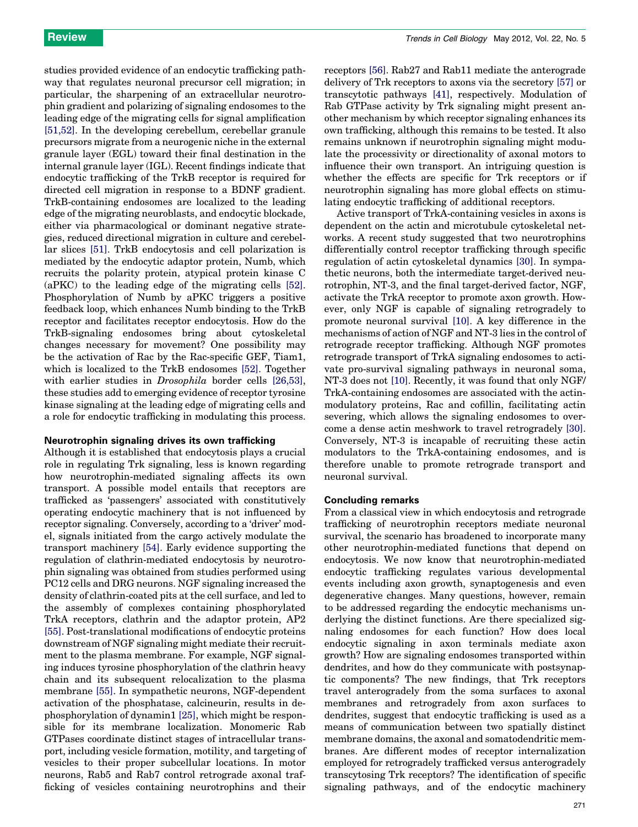studies provided evidence of an endocytic trafficking pathway that regulates neuronal precursor cell migration; in particular, the sharpening of an extracellular neurotrophin gradient and polarizing of signaling endosomes to the leading edge of the migrating cells for signal amplification [\[51,52\]](#page-7-0). In the developing cerebellum, cerebellar granule precursors migrate from a neurogenic niche in the external granule layer (EGL) toward their final destination in the internal granule layer (IGL). Recent findings indicate that endocytic trafficking of the TrkB receptor is required for directed cell migration in response to a BDNF gradient. TrkB-containing endosomes are localized to the leading edge of the migrating neuroblasts, and endocytic blockade, either via pharmacological or dominant negative strategies, reduced directional migration in culture and cerebellar slices [\[51\]](#page-7-0). TrkB endocytosis and cell polarization is mediated by the endocytic adaptor protein, Numb, which recruits the polarity protein, atypical protein kinase C (aPKC) to the leading edge of the migrating cells [\[52\]](#page-7-0). Phosphorylation of Numb by aPKC triggers a positive feedback loop, which enhances Numb binding to the TrkB receptor and facilitates receptor endocytosis. How do the TrkB-signaling endosomes bring about cytoskeletal changes necessary for movement? One possibility may be the activation of Rac by the Rac-specific GEF, Tiam1, which is localized to the TrkB endosomes [\[52\]](#page-7-0). Together with earlier studies in *Drosophila* border cells [\[26,53\]](#page-7-0), these studies add to emerging evidence of receptor tyrosine kinase signaling at the leading edge of migrating cells and a role for endocytic trafficking in modulating this process.

#### Neurotrophin signaling drives its own trafficking

Although it is established that endocytosis plays a crucial role in regulating Trk signaling, less is known regarding how neurotrophin-mediated signaling affects its own transport. A possible model entails that receptors are trafficked as 'passengers' associated with constitutively operating endocytic machinery that is not influenced by receptor signaling. Conversely, according to a 'driver' model, signals initiated from the cargo actively modulate the transport machinery [\[54\]](#page-7-0). Early evidence supporting the regulation of clathrin-mediated endocytosis by neurotrophin signaling was obtained from studies performed using PC12 cells and DRG neurons. NGF signaling increased the density of clathrin-coated pits at the cell surface, and led to the assembly of complexes containing phosphorylated TrkA receptors, clathrin and the adaptor protein, AP2 [\[55\]](#page-7-0). Post-translational modifications of endocytic proteins downstream of NGF signaling might mediate their recruitment to the plasma membrane. For example, NGF signaling induces tyrosine phosphorylation of the clathrin heavy chain and its subsequent relocalization to the plasma membrane [\[55\].](#page-7-0) In sympathetic neurons, NGF-dependent activation of the phosphatase, calcineurin, results in dephosphorylation of dynamin1 [\[25\],](#page-7-0) which might be responsible for its membrane localization. Monomeric Rab GTPases coordinate distinct stages of intracellular transport, including vesicle formation, motility, and targeting of vesicles to their proper subcellular locations. In motor neurons, Rab5 and Rab7 control retrograde axonal trafficking of vesicles containing neurotrophins and their

receptors [\[56\].](#page-7-0) Rab27 and Rab11 mediate the anterograde delivery of Trk receptors to axons via the secretory [\[57\]](#page-7-0) or transcytotic pathways [\[41\],](#page-7-0) respectively. Modulation of Rab GTPase activity by Trk signaling might present another mechanism by which receptor signaling enhances its own trafficking, although this remains to be tested. It also remains unknown if neurotrophin signaling might modulate the processivity or directionality of axonal motors to influence their own transport. An intriguing question is whether the effects are specific for Trk receptors or if neurotrophin signaling has more global effects on stimulating endocytic trafficking of additional receptors.

Active transport of TrkA-containing vesicles in axons is dependent on the actin and microtubule cytoskeletal networks. A recent study suggested that two neurotrophins differentially control receptor trafficking through specific regulation of actin cytoskeletal dynamics [\[30\]](#page-7-0). In sympathetic neurons, both the intermediate target-derived neurotrophin, NT-3, and the final target-derived factor, NGF, activate the TrkA receptor to promote axon growth. However, only NGF is capable of signaling retrogradely to promote neuronal survival [\[10\]](#page-6-0). A key difference in the mechanisms of action of NGF and NT-3 lies in the control of retrograde receptor trafficking. Although NGF promotes retrograde transport of TrkA signaling endosomes to activate pro-survival signaling pathways in neuronal soma, NT-3 does not [\[10\].](#page-6-0) Recently, it was found that only NGF/ TrkA-containing endosomes are associated with the actinmodulatory proteins, Rac and cofillin, facilitating actin severing, which allows the signaling endosomes to overcome a dense actin meshwork to travel retrogradely [\[30\]](#page-7-0). Conversely, NT-3 is incapable of recruiting these actin modulators to the TrkA-containing endosomes, and is therefore unable to promote retrograde transport and neuronal survival.

#### Concluding remarks

From a classical view in which endocytosis and retrograde trafficking of neurotrophin receptors mediate neuronal survival, the scenario has broadened to incorporate many other neurotrophin-mediated functions that depend on endocytosis. We now know that neurotrophin-mediated endocytic trafficking regulates various developmental events including axon growth, synaptogenesis and even degenerative changes. Many questions, however, remain to be addressed regarding the endocytic mechanisms underlying the distinct functions. Are there specialized signaling endosomes for each function? How does local endocytic signaling in axon terminals mediate axon growth? How are signaling endosomes transported within dendrites, and how do they communicate with postsynaptic components? The new findings, that Trk receptors travel anterogradely from the soma surfaces to axonal membranes and retrogradely from axon surfaces to dendrites, suggest that endocytic trafficking is used as a means of communication between two spatially distinct membrane domains, the axonal and somatodendritic membranes. Are different modes of receptor internalization employed for retrogradely trafficked versus anterogradely transcytosing Trk receptors? The identification of specific signaling pathways, and of the endocytic machinery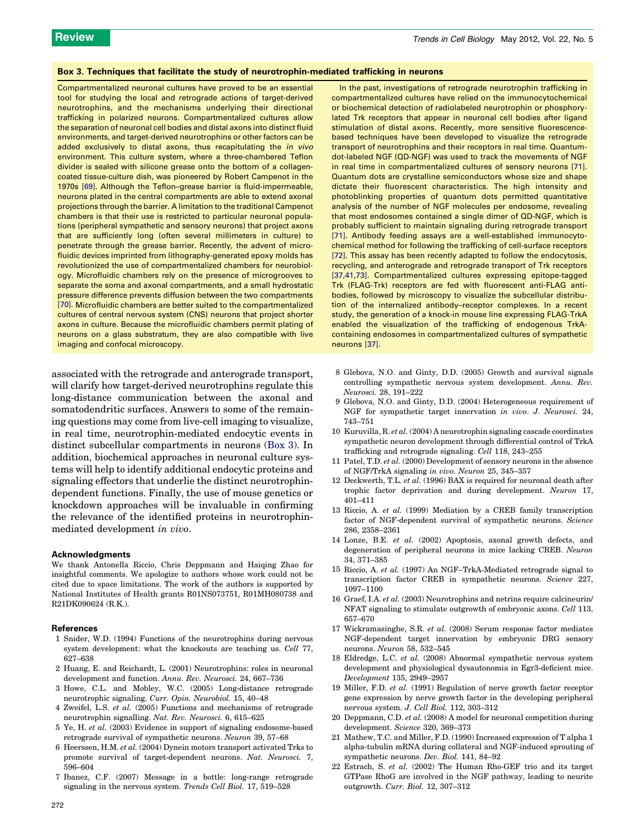#### <span id="page-6-0"></span>Box 3. Techniques that facilitate the study of neurotrophin-mediated trafficking in neurons

Compartmentalized neuronal cultures have proved to be an essential tool for studying the local and retrograde actions of target-derived neurotrophins, and the mechanisms underlying their directional trafficking in polarized neurons. Compartmentalized cultures allow the separation of neuronal cell bodies and distal axons into distinct fluid environments, and target-derived neurotrophins or other factors can be added exclusively to distal axons, thus recapitulating the in vivo environment. This culture system, where a three-chambered Teflon divider is sealed with silicone grease onto the bottom of a collagencoated tissue-culture dish, was pioneered by Robert Campenot in the 1970s [\[69\]](#page-7-0). Although the Teflon–grease barrier is fluid-impermeable, neurons plated in the central compartments are able to extend axonal projections through the barrier. A limitation to the traditional Campenot chambers is that their use is restricted to particular neuronal populations (peripheral sympathetic and sensory neurons) that project axons that are sufficiently long (often several millimeters in culture) to penetrate through the grease barrier. Recently, the advent of microfluidic devices imprinted from lithography-generated epoxy molds has revolutionized the use of compartmentalized chambers for neurobiology. Microfluidic chambers rely on the presence of microgrooves to separate the soma and axonal compartments, and a small hydrostatic pressure difference prevents diffusion between the two compartments [\[70\]](#page-7-0). Microfluidic chambers are better suited to the compartmentalized cultures of central nervous system (CNS) neurons that project shorter axons in culture. Because the microfluidic chambers permit plating of neurons on a glass substratum, they are also compatible with live imaging and confocal microscopy.

associated with the retrograde and anterograde transport, will clarify how target-derived neurotrophins regulate this long-distance communication between the axonal and somatodendritic surfaces. Answers to some of the remaining questions may come from live-cell imaging to visualize, in real time, neurotrophin-mediated endocytic events in distinct subcellular compartments in neurons (Box 3). In addition, biochemical approaches in neuronal culture systems will help to identify additional endocytic proteins and signaling effectors that underlie the distinct neurotrophindependent functions. Finally, the use of mouse genetics or knockdown approaches will be invaluable in confirming the relevance of the identified proteins in neurotrophinmediated development in vivo.

#### **Acknowledgments**

We thank Antonella Riccio, Chris Deppmann and Haiqing Zhao for insightful comments. We apologize to authors whose work could not be cited due to space limitations. The work of the authors is supported by National Institutes of Health grants R01NS073751, R01MH080738 and R21DK090624 (R.K.).

#### References

- 1 Snider, W.D. (1994) Functions of the neurotrophins during nervous system development: what the knockouts are teaching us. Cell 77, 627–638
- 2 Huang, E. and Reichardt, L. (2001) Neurotrophins: roles in neuronal development and function. Annu. Rev. Neurosci. 24, 667–736
- 3 Howe, C.L. and Mobley, W.C. (2005) Long-distance retrograde neurotrophic signaling. Curr. Opin. Neurobiol. 15, 40–48
- 4 Zweifel, L.S. et al. (2005) Functions and mechanisms of retrograde neurotrophin signalling. Nat. Rev. Neurosci. 6, 615–625
- 5 Ye, H. et al. (2003) Evidence in support of signaling endosome-based retrograde survival of sympathetic neurons. Neuron 39, 57–68
- 6 Heerssen, H.M. et al. (2004) Dynein motors transport activated Trks to promote survival of target-dependent neurons. Nat. Neurosci. 7, 596–604
- 7 Ibanez, C.F. (2007) Message in a bottle: long-range retrograde signaling in the nervous system. Trends Cell Biol. 17, 519–528

In the past, investigations of retrograde neurotrophin trafficking in compartmentalized cultures have relied on the immunocytochemical or biochemical detection of radiolabeled neurotrophin or phosphorylated Trk receptors that appear in neuronal cell bodies after ligand stimulation of distal axons. Recently, more sensitive fluorescencebased techniques have been developed to visualize the retrograde transport of neurotrophins and their receptors in real time. Quantumdot-labeled NGF (QD-NGF) was used to track the movements of NGF in real time in compartmentalized cultures of sensory neurons [\[71\].](#page-7-0) Quantum dots are crystalline semiconductors whose size and shape dictate their fluorescent characteristics. The high intensity and photoblinking properties of quantum dots permitted quantitative analysis of the number of NGF molecules per endosome, revealing that most endosomes contained a single dimer of QD-NGF, which is probably sufficient to maintain signaling during retrograde transport [\[71\].](#page-7-0) Antibody feeding assays are a well-established immunocytochemical method for following the trafficking of cell-surface receptors [\[72\].](#page-7-0) This assay has been recently adapted to follow the endocytosis, recycling, and anterograde and retrograde transport of Trk receptors [\[37,41,73\].](#page-7-0) Compartmentalized cultures expressing epitope-tagged Trk (FLAG-Trk) receptors are fed with fluorescent anti-FLAG antibodies, followed by microscopy to visualize the subcellular distribution of the internalized antibody–receptor complexes. In a recent study, the generation of a knock-in mouse line expressing FLAG-TrkA enabled the visualization of the trafficking of endogenous TrkAcontaining endosomes in compartmentalized cultures of sympathetic neurons [\[37\]](#page-7-0).

- 8 Glebova, N.O. and Ginty, D.D. (2005) Growth and survival signals controlling sympathetic nervous system development. Annu. Rev. Neurosci. 28, 191–222
- 9 Glebova, N.O. and Ginty, D.D. (2004) Heterogeneous requirement of NGF for sympathetic target innervation in vivo. J. Neurosci. 24, 743–751
- 10 Kuruvilla, R. et al. (2004) A neurotrophin signaling cascade coordinates sympathetic neuron development through differential control of TrkA trafficking and retrograde signaling. Cell 118, 243–255
- 11 Patel, T.D. et al. (2000) Development of sensory neurons in the absence of NGF/TrkA signaling in vivo. Neuron 25, 345–357
- 12 Deckwerth, T.L. et al. (1996) BAX is required for neuronal death after trophic factor deprivation and during development. Neuron 17, 401–411
- 13 Riccio, A. et al. (1999) Mediation by a CREB family transcription factor of NGF-dependent survival of sympathetic neurons. Science 286, 2358–2361
- 14 Lonze, B.E. et al. (2002) Apoptosis, axonal growth defects, and degeneration of peripheral neurons in mice lacking CREB. Neuron 34, 371–385
- 15 Riccio, A. et al. (1997) An NGF–TrkA-Mediated retrograde signal to transcription factor CREB in sympathetic neurons. Science 227, 1097–1100
- 16 Graef, I.A. et al. (2003) Neurotrophins and netrins require calcineurin/ NFAT signaling to stimulate outgrowth of embryonic axons. Cell 113, 657–670
- 17 Wickramasinghe, S.R. et al. (2008) Serum response factor mediates NGF-dependent target innervation by embryonic DRG sensory neurons. Neuron 58, 532–545
- 18 Eldredge, L.C. et al. (2008) Abnormal sympathetic nervous system development and physiological dysautonomia in Egr3-deficient mice. Development 135, 2949–2957
- 19 Miller, F.D. et al. (1991) Regulation of nerve growth factor receptor gene expression by nerve growth factor in the developing peripheral nervous system. J. Cell Biol. 112, 303–312
- 20 Deppmann, C.D. et al. (2008) A model for neuronal competition during development. Science 320, 369–373
- 21 Mathew, T.C. and Miller, F.D. (1990) Increased expression of T alpha 1 alpha-tubulin mRNA during collateral and NGF-induced sprouting of sympathetic neurons. Dev. Biol. 141, 84–92
- 22 Estrach, S. et al. (2002) The Human Rho-GEF trio and its target GTPase RhoG are involved in the NGF pathway, leading to neurite outgrowth. Curr. Biol. 12, 307–312